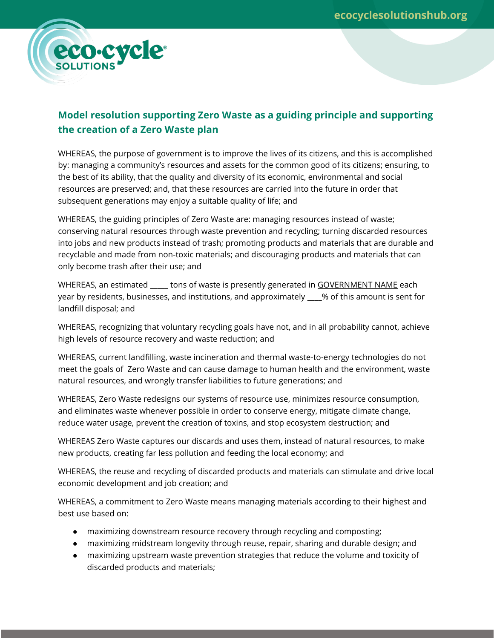

## **Model resolution supporting Zero Waste as a guiding principle and supporting the creation of a Zero Waste plan**

WHEREAS, the purpose of government is to improve the lives of its citizens, and this is accomplished by: managing a community's resources and assets for the common good of its citizens; ensuring, to the best of its ability, that the quality and diversity of its economic, environmental and social resources are preserved; and, that these resources are carried into the future in order that subsequent generations may enjoy a suitable quality of life; and

WHEREAS, the guiding principles of Zero Waste are: managing resources instead of waste; conserving natural resources through waste prevention and recycling; turning discarded resources into jobs and new products instead of trash; promoting products and materials that are durable and recyclable and made from non-toxic materials; and discouraging products and materials that can only become trash after their use; and

WHEREAS, an estimated \_\_\_\_\_\_ tons of waste is presently generated in GOVERNMENT NAME each year by residents, businesses, and institutions, and approximately \_\_\_\_% of this amount is sent for landfill disposal; and

WHEREAS, recognizing that voluntary recycling goals have not, and in all probability cannot, achieve high levels of resource recovery and waste reduction; and

WHEREAS, current landfilling, waste incineration and thermal waste-to-energy technologies do not meet the goals of Zero Waste and can cause damage to human health and the environment, waste natural resources, and wrongly transfer liabilities to future generations; and

WHEREAS, Zero Waste redesigns our systems of resource use, minimizes resource consumption, and eliminates waste whenever possible in order to conserve energy, mitigate climate change, reduce water usage, prevent the creation of toxins, and stop ecosystem destruction; and

WHEREAS Zero Waste captures our discards and uses them, instead of natural resources, to make new products, creating far less pollution and feeding the local economy; and

WHEREAS, the reuse and recycling of discarded products and materials can stimulate and drive local economic development and job creation; and

WHEREAS, a commitment to Zero Waste means managing materials according to their highest and best use based on:

- maximizing downstream resource recovery through recycling and composting;
- maximizing midstream longevity through reuse, repair, sharing and durable design; and
- maximizing upstream waste prevention strategies that reduce the volume and toxicity of discarded products and materials;